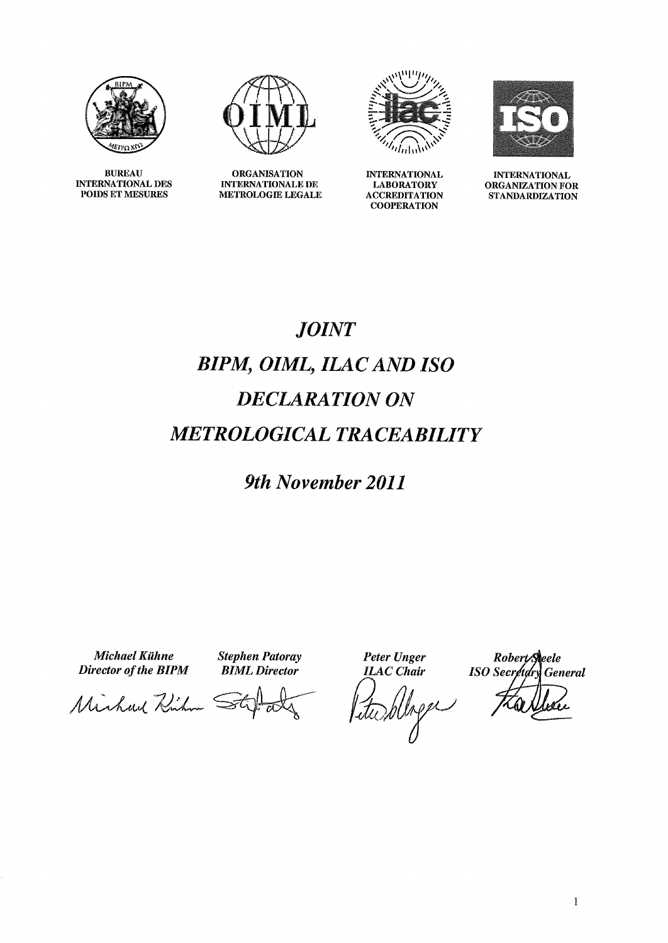

**BUREAU INTERNATIONAL DES** POIDS ET MESURES



**ORGANISATION INTERNATIONALE DE** METROLOGIE LEGALE



**INTERNATIONAL LABORATORY ACCREDITATION COOPERATION** 



**INTERNATIONAL** ORGANIZATION FOR **STANDARDIZATION** 

## **JOINT BIPM, OIML, ILAC AND ISO DECLARATION ON METROLOGICAL TRACEABILITY**

9th November 2011

**Michael Kühne** Director of the BIPM **Stephen Patoray BIML** Director

**Peter Unger** 

**ILAC** Chair Liturblage

Robert Seele **ISO** Secretory General

Michael Richard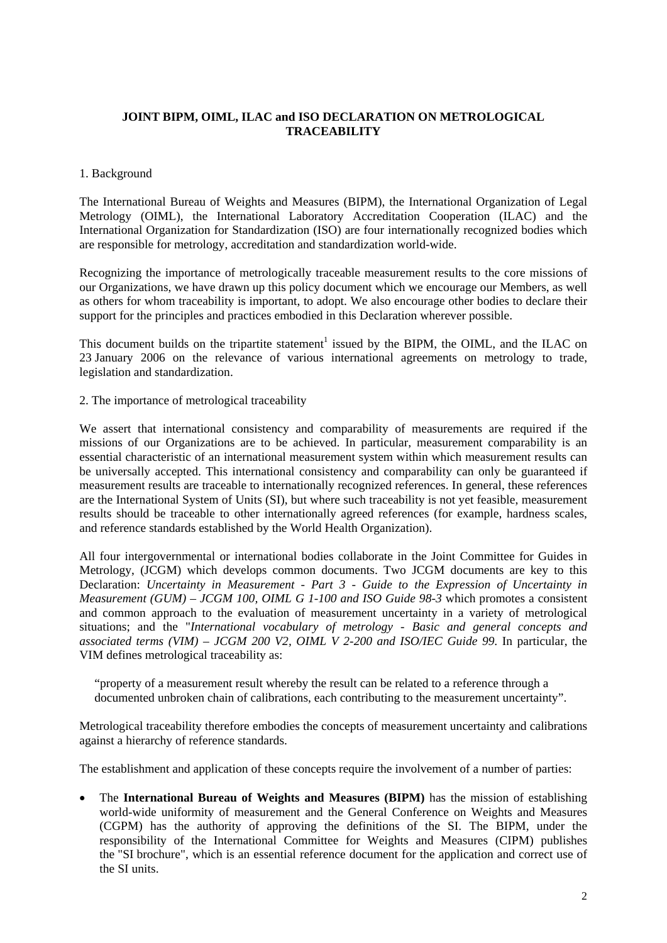## **JOINT BIPM, OIML, ILAC and ISO DECLARATION ON METROLOGICAL TRACEABILITY**

## 1. Background

The International Bureau of Weights and Measures (BIPM), the International Organization of Legal Metrology (OIML), the International Laboratory Accreditation Cooperation (ILAC) and the International Organization for Standardization (ISO) are four internationally recognized bodies which are responsible for metrology, accreditation and standardization world-wide.

Recognizing the importance of metrologically traceable measurement results to the core missions of our Organizations, we have drawn up this policy document which we encourage our Members, as well as others for whom traceability is important, to adopt. We also encourage other bodies to declare their support for the principles and practices embodied in this Declaration wherever possible.

This document builds on the tripartite statement<sup>1</sup> issued by the BIPM, the OIML, and the ILAC on 23 January 2006 on the relevance of various international agreements on metrology to trade, legislation and standardization.

2. The importance of metrological traceability

We assert that international consistency and comparability of measurements are required if the missions of our Organizations are to be achieved. In particular, measurement comparability is an essential characteristic of an international measurement system within which measurement results can be universally accepted. This international consistency and comparability can only be guaranteed if measurement results are traceable to internationally recognized references. In general, these references are the International System of Units (SI), but where such traceability is not yet feasible, measurement results should be traceable to other internationally agreed references (for example, hardness scales, and reference standards established by the World Health Organization).

All four intergovernmental or international bodies collaborate in the Joint Committee for Guides in Metrology, (JCGM) which develops common documents. Two JCGM documents are key to this Declaration: *Uncertainty in Measurement - Part 3 - Guide to the Expression of Uncertainty in Measurement (GUM) – JCGM 100, OIML G 1-100 and ISO Guide 98-3* which promotes a consistent and common approach to the evaluation of measurement uncertainty in a variety of metrological situations; and the "*International vocabulary of metrology - Basic and general concepts and associated terms (VIM) – JCGM 200 V2, OIML V 2-200 and ISO/IEC Guide 99*. In particular, the VIM defines metrological traceability as:

"property of a measurement result whereby the result can be related to a reference through a documented unbroken chain of calibrations, each contributing to the measurement uncertainty".

Metrological traceability therefore embodies the concepts of measurement uncertainty and calibrations against a hierarchy of reference standards.

The establishment and application of these concepts require the involvement of a number of parties:

 The **International Bureau of Weights and Measures (BIPM)** has the mission of establishing world-wide uniformity of measurement and the General Conference on Weights and Measures (CGPM) has the authority of approving the definitions of the SI. The BIPM, under the responsibility of the International Committee for Weights and Measures (CIPM) publishes the "SI brochure", which is an essential reference document for the application and correct use of the SI units.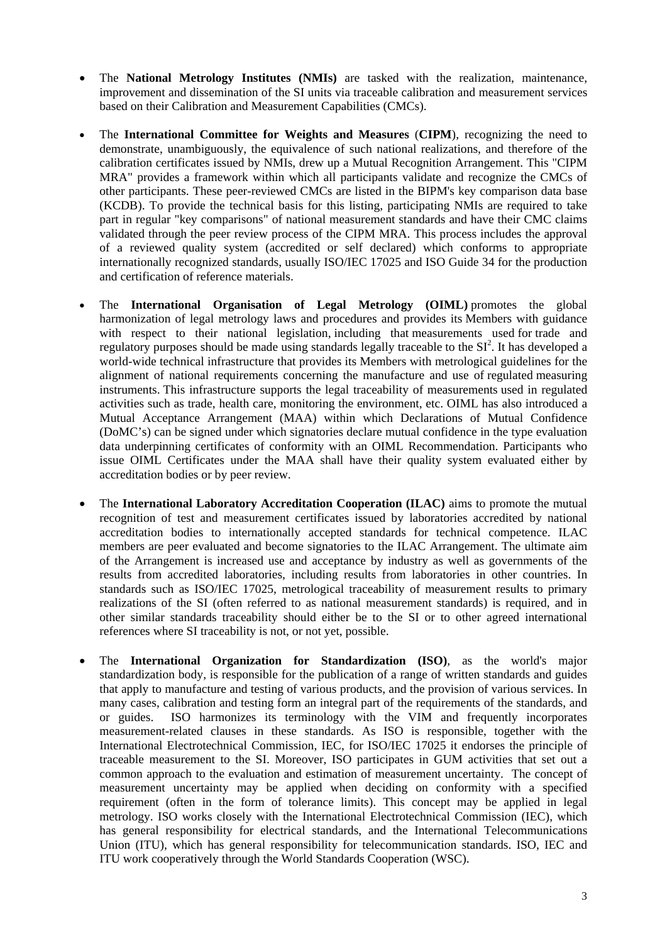- The **National Metrology Institutes (NMIs)** are tasked with the realization, maintenance, improvement and dissemination of the SI units via traceable calibration and measurement services based on their Calibration and Measurement Capabilities (CMCs).
- The **International Committee for Weights and Measures** (**CIPM**), recognizing the need to demonstrate, unambiguously, the equivalence of such national realizations, and therefore of the calibration certificates issued by NMIs, drew up a Mutual Recognition Arrangement. This "CIPM MRA" provides a framework within which all participants validate and recognize the CMCs of other participants. These peer-reviewed CMCs are listed in the BIPM's key comparison data base (KCDB). To provide the technical basis for this listing, participating NMIs are required to take part in regular "key comparisons" of national measurement standards and have their CMC claims validated through the peer review process of the CIPM MRA. This process includes the approval of a reviewed quality system (accredited or self declared) which conforms to appropriate internationally recognized standards, usually ISO/IEC 17025 and ISO Guide 34 for the production and certification of reference materials.
- The **International Organisation of Legal Metrology (OIML)** promotes the global harmonization of legal metrology laws and procedures and provides its Members with guidance with respect to their national legislation, including that measurements used for trade and regulatory purposes should be made using standards legally traceable to the  $SI^2$ . It has developed a world-wide technical infrastructure that provides its Members with metrological guidelines for the alignment of national requirements concerning the manufacture and use of regulated measuring instruments. This infrastructure supports the legal traceability of measurements used in regulated activities such as trade, health care, monitoring the environment, etc. OIML has also introduced a Mutual Acceptance Arrangement (MAA) within which Declarations of Mutual Confidence (DoMC's) can be signed under which signatories declare mutual confidence in the type evaluation data underpinning certificates of conformity with an OIML Recommendation. Participants who issue OIML Certificates under the MAA shall have their quality system evaluated either by accreditation bodies or by peer review.
- The **International Laboratory Accreditation Cooperation (ILAC)** aims to promote the mutual recognition of test and measurement certificates issued by laboratories accredited by national accreditation bodies to internationally accepted standards for technical competence. ILAC members are peer evaluated and become signatories to the ILAC Arrangement. The ultimate aim of the Arrangement is increased use and acceptance by industry as well as governments of the results from accredited laboratories, including results from laboratories in other countries. In standards such as ISO/IEC 17025, metrological traceability of measurement results to primary realizations of the SI (often referred to as national measurement standards) is required, and in other similar standards traceability should either be to the SI or to other agreed international references where SI traceability is not, or not yet, possible.
- The **International Organization for Standardization (ISO)**, as the world's major standardization body, is responsible for the publication of a range of written standards and guides that apply to manufacture and testing of various products, and the provision of various services. In many cases, calibration and testing form an integral part of the requirements of the standards, and or guides. ISO harmonizes its terminology with the VIM and frequently incorporates measurement-related clauses in these standards. As ISO is responsible, together with the International Electrotechnical Commission, IEC, for ISO/IEC 17025 it endorses the principle of traceable measurement to the SI. Moreover, ISO participates in GUM activities that set out a common approach to the evaluation and estimation of measurement uncertainty. The concept of measurement uncertainty may be applied when deciding on conformity with a specified requirement (often in the form of tolerance limits). This concept may be applied in legal metrology. ISO works closely with the International Electrotechnical Commission (IEC), which has general responsibility for electrical standards, and the International Telecommunications Union (ITU), which has general responsibility for telecommunication standards. ISO, IEC and ITU work cooperatively through the World Standards Cooperation (WSC).